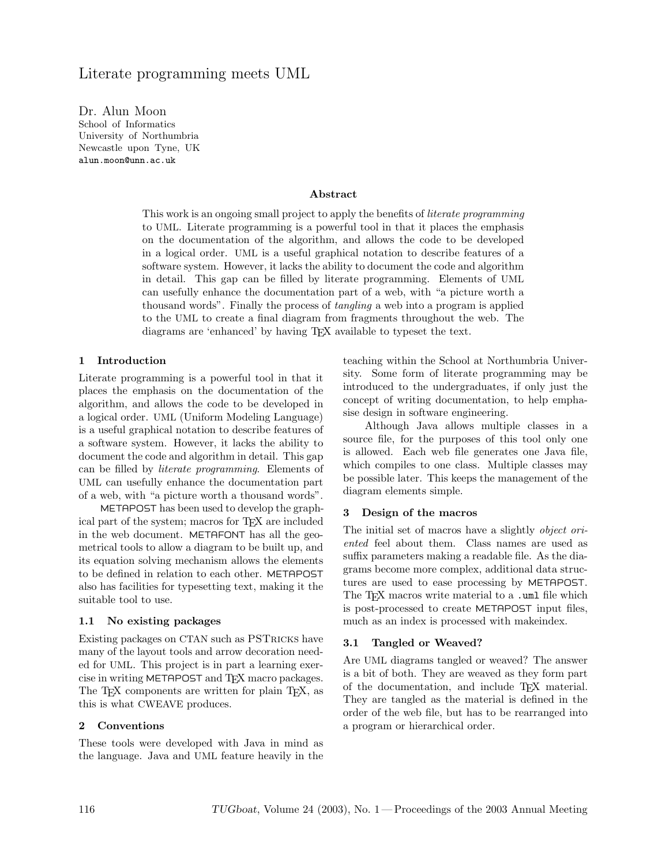# Literate programming meets UML

Dr. Alun Moon School of Informatics University of Northumbria Newcastle upon Tyne, UK alun.moon@unn.ac.uk

#### Abstract

This work is an ongoing small project to apply the benefits of *literate programming* to UML. Literate programming is a powerful tool in that it places the emphasis on the documentation of the algorithm, and allows the code to be developed in a logical order. UML is a useful graphical notation to describe features of a software system. However, it lacks the ability to document the code and algorithm in detail. This gap can be filled by literate programming. Elements of UML can usefully enhance the documentation part of a web, with "a picture worth a thousand words". Finally the process of *tangling* a web into a program is applied to the UML to create a final diagram from fragments throughout the web. The diagrams are 'enhanced' by having TEX available to typeset the text.

### 1 Introduction

Literate programming is a powerful tool in that it places the emphasis on the documentation of the algorithm, and allows the code to be developed in a logical order. UML (Uniform Modeling Language) is a useful graphical notation to describe features of a software system. However, it lacks the ability to document the code and algorithm in detail. This gap can be filled by literate programming. Elements of UML can usefully enhance the documentation part of a web, with "a picture worth a thousand words".

METAPOST has been used to develop the graphical part of the system; macros for TEX are included in the web document. METAFONT has all the geometrical tools to allow a diagram to be built up, and its equation solving mechanism allows the elements to be defined in relation to each other. METAPOST also has facilities for typesetting text, making it the suitable tool to use.

#### 1.1 No existing packages

Existing packages on CTAN such as PSTricks have many of the layout tools and arrow decoration needed for UML. This project is in part a learning exercise in writing METAPOST and TEX macro packages. The T<sub>EX</sub> components are written for plain T<sub>EX</sub>, as this is what CWEAVE produces.

#### 2 Conventions

These tools were developed with Java in mind as the language. Java and UML feature heavily in the teaching within the School at Northumbria University. Some form of literate programming may be introduced to the undergraduates, if only just the concept of writing documentation, to help emphasise design in software engineering.

Although Java allows multiple classes in a source file, for the purposes of this tool only one is allowed. Each web file generates one Java file, which compiles to one class. Multiple classes may be possible later. This keeps the management of the diagram elements simple.

#### 3 Design of the macros

The initial set of macros have a slightly *object ori*ented feel about them. Class names are used as suffix parameters making a readable file. As the diagrams become more complex, additional data structures are used to ease processing by METAPOST. The T<sub>F</sub>X macros write material to a .uml file which is post-processed to create METAPOST input files, much as an index is processed with makeindex.

#### 3.1 Tangled or Weaved?

Are UML diagrams tangled or weaved? The answer is a bit of both. They are weaved as they form part of the documentation, and include TEX material. They are tangled as the material is defined in the order of the web file, but has to be rearranged into a program or hierarchical order.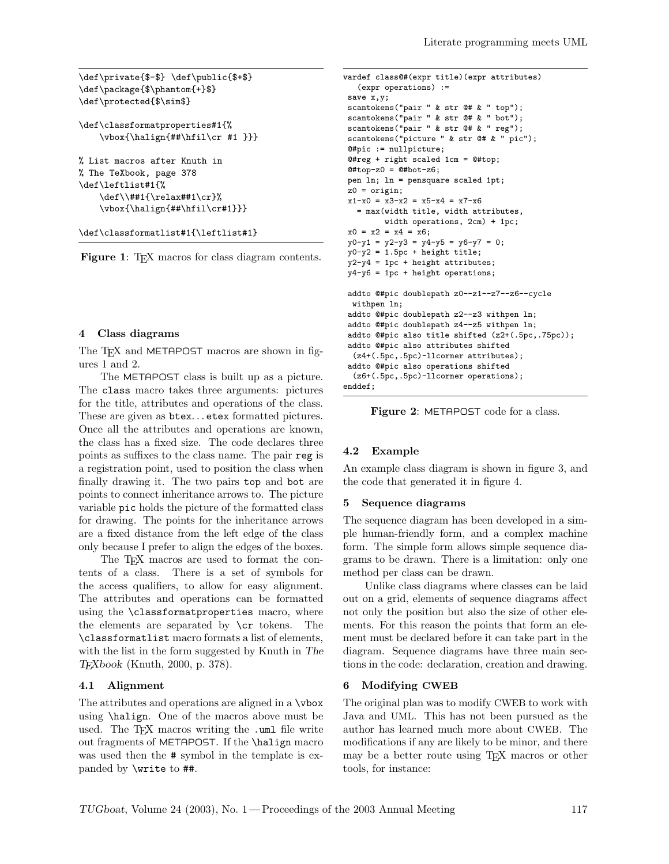```
\def\private{$-$} \def\public{$+$}
\def\package{$\phantom{+}$}
\def\protected{$\sim$}
\def\classformatproperties#1{%
   \vbox{\halign{##\hfil\cr #1 }}}
% List macros after Knuth in
% The TeXbook, page 378
\def\leftlist#1{%
    \def\\##1{\relax##1\cr}%
    \vbox{\halign{##\hfil\cr#1}}}
\def\classformatlist#1{\leftlist#1}
```
Figure 1: TEX macros for class diagram contents.

#### 4 Class diagrams

The T<sub>F</sub>X and METAPOST macros are shown in figures 1 and 2.

The METAPOST class is built up as a picture. The class macro takes three arguments: pictures for the title, attributes and operations of the class. These are given as  $b$ tex... etex formatted pictures. Once all the attributes and operations are known, the class has a fixed size. The code declares three points as suffixes to the class name. The pair reg is a registration point, used to position the class when finally drawing it. The two pairs top and bot are points to connect inheritance arrows to. The picture variable pic holds the picture of the formatted class for drawing. The points for the inheritance arrows are a fixed distance from the left edge of the class only because I prefer to align the edges of the boxes.

The T<sub>EX</sub> macros are used to format the contents of a class. There is a set of symbols for the access qualifiers, to allow for easy alignment. The attributes and operations can be formatted using the \classformatproperties macro, where the elements are separated by \cr tokens. The \classformatlist macro formats a list of elements, with the list in the form suggested by Knuth in The TEXbook (Knuth, 2000, p. 378).

### 4.1 Alignment

The attributes and operations are aligned in a \vbox using \halign. One of the macros above must be used. The TEX macros writing the .uml file write out fragments of METAPOST. If the \halign macro was used then the # symbol in the template is expanded by \write to ##.

```
vardef class@#(expr title)(expr attributes)
   (expr operations) :=
 save x, y;
scantokens("pair " & str @# & " top");
scantokens("pair " & str @# & " bot");
scantokens("pair " & str @# & " reg");
scantokens("picture " & str @# & " pic");
@#pic := nullpicture;
@#reg + right scaled 1cm = @#top;
@#top-z0 = @#bot-z6;pen ln; ln = pensquare scaled 1pt;
z0 = origin;x1-x0 = x3-x2 = x5-x4 = x7-x6= max(width title, width attributes,
         width operations, 2cm) + 1pc;
x0 = x2 = x4 = x6;y0-y1 = y2-y3 = y4-y5 = y6-y7 = 0;y0-y2 = 1.5pc + height title;y2-y4 = 1pc + height attributes;
y4-y6 = 1pc + height operations;
 addto @#pic doublepath z0--z1--z7--z6--cycle
 withpen ln;
 addto @#pic doublepath z2--z3 withpen ln;
 addto @#pic doublepath z4--z5 withpen ln;
 addto @#pic also title shifted (z2+(.5pc,.75pc));
 addto @#pic also attributes shifted
  (z4+(.5pc,.5pc)-llcorner attributes);
 addto @#pic also operations shifted
  (z6+(.5pc,.5pc)-llcorner operations);
enddef;
```
Figure 2: METAPOST code for a class.

### 4.2 Example

An example class diagram is shown in figure 3, and the code that generated it in figure 4.

#### 5 Sequence diagrams

The sequence diagram has been developed in a simple human-friendly form, and a complex machine form. The simple form allows simple sequence diagrams to be drawn. There is a limitation: only one method per class can be drawn.

Unlike class diagrams where classes can be laid out on a grid, elements of sequence diagrams affect not only the position but also the size of other elements. For this reason the points that form an element must be declared before it can take part in the diagram. Sequence diagrams have three main sections in the code: declaration, creation and drawing.

#### 6 Modifying CWEB

The original plan was to modify CWEB to work with Java and UML. This has not been pursued as the author has learned much more about CWEB. The modifications if any are likely to be minor, and there may be a better route using TEX macros or other tools, for instance: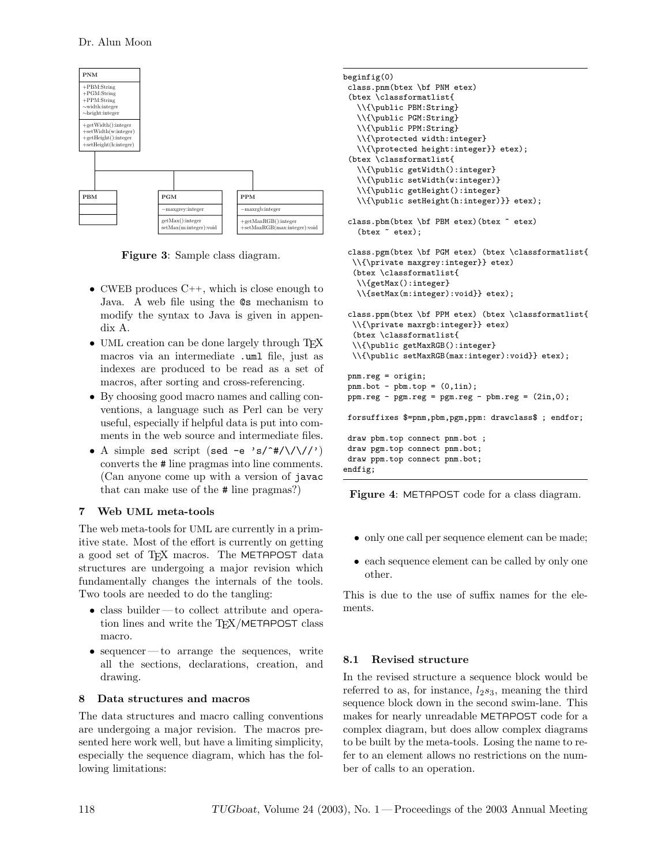

Figure 3: Sample class diagram.

- CWEB produces  $C_{++}$ , which is close enough to Java. A web file using the @s mechanism to modify the syntax to Java is given in appendix A.
- UML creation can be done largely through TFX macros via an intermediate .uml file, just as indexes are produced to be read as a set of macros, after sorting and cross-referencing.
- By choosing good macro names and calling conventions, a language such as Perl can be very useful, especially if helpful data is put into comments in the web source and intermediate files.
- A simple sed script (sed -e 's/^#/\/\//') converts the # line pragmas into line comments. (Can anyone come up with a version of javac that can make use of the # line pragmas?)

# 7 Web UML meta-tools

The web meta-tools for UML are currently in a primitive state. Most of the effort is currently on getting a good set of T<sub>F</sub>X macros. The METAPOST data structures are undergoing a major revision which fundamentally changes the internals of the tools. Two tools are needed to do the tangling:

- class builder to collect attribute and operation lines and write the TEX/METAPOST class macro.
- sequencer to arrange the sequences, write all the sections, declarations, creation, and drawing.

# 8 Data structures and macros

The data structures and macro calling conventions are undergoing a major revision. The macros presented here work well, but have a limiting simplicity, especially the sequence diagram, which has the following limitations:

```
beginfig(0)
class.pnm(btex \bf PNM etex)
 (btex \classformatlist{
   \\{\public PBM:String}
   \\{\public PGM:String}
   \\{\public PPM:String}
   \\{\protected width:integer}
   \\{\protected height:integer}} etex);
 (btex \classformatlist{
   \\{\public getWidth():integer}
   \\{\public setWidth(w:integer)}
   \\{\public getHeight():integer}
   \\{\public setHeight(h:integer)}} etex);
 class.pbm(btex \bf PBM etex)(btex ~ etex)
   (btex ~ etex);
 class.pgm(btex \bf PGM etex) (btex \classformatlist{
  \\{\private maxgrey:integer}} etex)
  (btex \classformatlist{
   \\{getMax():integer}
   \\{setMax(m:integer):void}} etex);
 class.ppm(btex \bf PPM etex) (btex \classformatlist{
  \\{\private maxrgb:integer}} etex)
  (btex \classformatlist{
  \\{\public getMaxRGB():integer}
  \\{\public setMaxRGB(max:integer):void}} etex);
 pnm.reg = origin;
 pnm.bot - pbm.top = (0,1in);ppm.reg - pgm.reg = pgm.reg - pbm.reg = (2in,0);forsuffixes $=pnm,pbm,pgm,ppm: drawclass$ ; endfor;
draw pbm.top connect pnm.bot ;
 draw pgm.top connect pnm.bot;
draw ppm.top connect pnm.bot;
endfig;
```
Figure 4: METAPOST code for a class diagram.

- only one call per sequence element can be made;
- each sequence element can be called by only one other.

This is due to the use of suffix names for the elements.

# 8.1 Revised structure

In the revised structure a sequence block would be referred to as, for instance,  $l_2s_3$ , meaning the third sequence block down in the second swim-lane. This makes for nearly unreadable METAPOST code for a complex diagram, but does allow complex diagrams to be built by the meta-tools. Losing the name to refer to an element allows no restrictions on the number of calls to an operation.